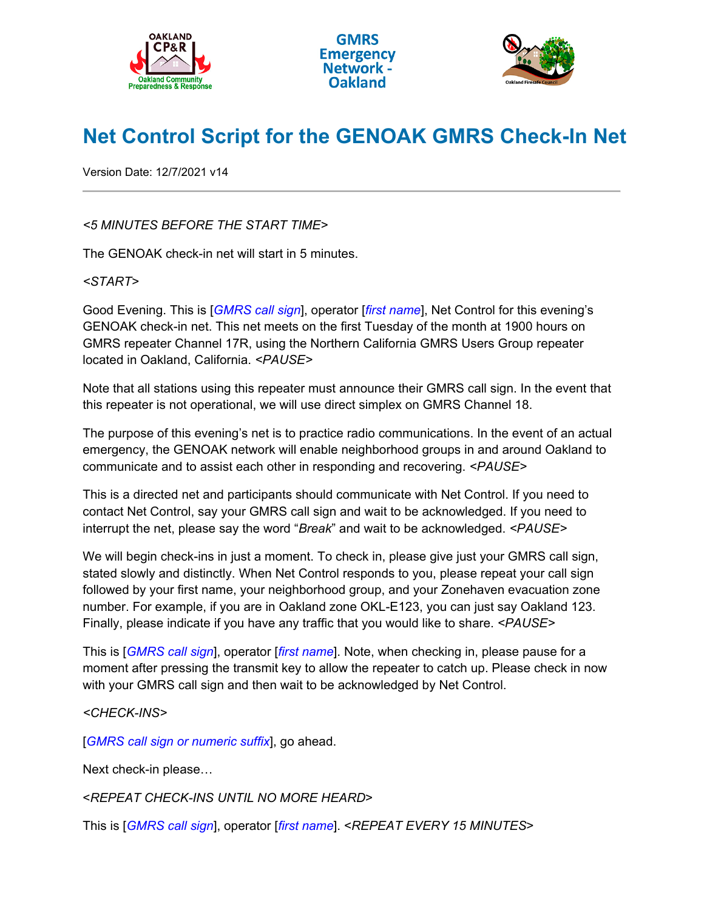





## **Net Control Script for the GENOAK GMRS Check-In Net**

Version Date: 12/7/2021 v14

## *<5 MINUTES BEFORE THE START TIME>*

The GENOAK check-in net will start in 5 minutes.

## *<START>*

Good Evening. This is [*GMRS call sign*], operator [*first name*], Net Control for this evening's GENOAK check-in net. This net meets on the first Tuesday of the month at 1900 hours on GMRS repeater Channel 17R, using the Northern California GMRS Users Group repeater located in Oakland, California. *<PAUSE>*

Note that all stations using this repeater must announce their GMRS call sign. In the event that this repeater is not operational, we will use direct simplex on GMRS Channel 18.

The purpose of this evening's net is to practice radio communications. In the event of an actual emergency, the GENOAK network will enable neighborhood groups in and around Oakland to communicate and to assist each other in responding and recovering. *<PAUSE>*

This is a directed net and participants should communicate with Net Control. If you need to contact Net Control, say your GMRS call sign and wait to be acknowledged. If you need to interrupt the net, please say the word "*Break*" and wait to be acknowledged. *<PAUSE>*

We will begin check-ins in just a moment. To check in, please give just your GMRS call sign, stated slowly and distinctly. When Net Control responds to you, please repeat your call sign followed by your first name, your neighborhood group, and your Zonehaven evacuation zone number. For example, if you are in Oakland zone OKL-E123, you can just say Oakland 123. Finally, please indicate if you have any traffic that you would like to share. *<PAUSE>*

This is [*GMRS call sign*], operator [*first name*]. Note, when checking in, please pause for a moment after pressing the transmit key to allow the repeater to catch up. Please check in now with your GMRS call sign and then wait to be acknowledged by Net Control.

## *<CHECK-INS>*

[*GMRS call sign or numeric suffix*], go ahead.

Next check-in please…

<*REPEAT CHECK-INS UNTIL NO MORE HEARD*>

This is [*GMRS call sign*], operator [*first name*]. <*REPEAT EVERY 15 MINUTES*>